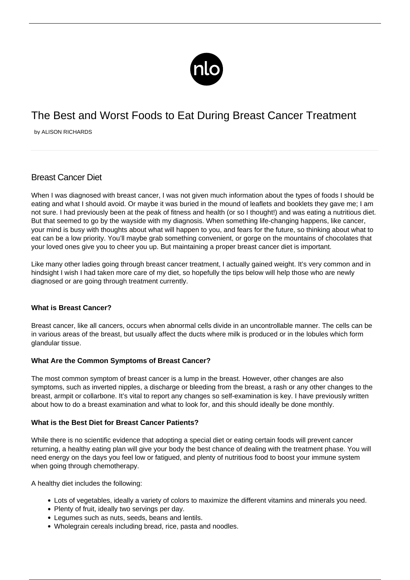

# The Best and Worst Foods to Eat During Breast Cancer Treatment

by ALISON RICHARDS

# Breast Cancer Diet

When I was diagnosed with breast cancer, I was not given much information about the types of foods I should be eating and what I should avoid. Or maybe it was buried in the mound of leaflets and booklets they gave me; I am not sure. I had previously been at the peak of fitness and health (or so I thought!) and was eating a nutritious diet. But that seemed to go by the wayside with my diagnosis. When something life-changing happens, like cancer, your mind is busy with thoughts about what will happen to you, and fears for the future, so thinking about what to eat can be a low priority. You'll maybe grab something convenient, or gorge on the mountains of chocolates that your loved ones give you to cheer you up. But maintaining a proper breast cancer diet is important.

Like many other ladies going through breast cancer treatment, I actually gained weight. It's very common and in hindsight I wish I had taken more care of my diet, so hopefully the tips below will help those who are newly diagnosed or are going through treatment currently.

# **What is Breast Cancer?**

Breast cancer, like all cancers, occurs when abnormal cells divide in an uncontrollable manner. The cells can be in various areas of the breast, but usually affect the ducts where milk is produced or in the lobules which form glandular tissue.

#### **What Are the Common Symptoms of Breast Cancer?**

The most common symptom of breast cancer is a lump in the breast. However, other changes are also symptoms, such as inverted nipples, a discharge or bleeding from the breast, a rash or any other changes to the breast, armpit or collarbone. It's vital to report any changes so self-examination is key. I have previously written about how to do a [breast examination and what to look for](/what-does-a-breast-cancer-lump-feel-like/), and this should ideally be done monthly.

#### **What is the Best Diet for Breast Cancer Patients?**

While there is no scientific evidence that adopting a special diet or eating certain foods will prevent cancer returning, a healthy eating plan will give your body the best chance of dealing with the treatment phase. You will need energy on the days you feel low or fatigued, and plenty of nutritious food to boost your immune system when going through chemotherapy.

A healthy diet includes the following:

- Lots of vegetables, ideally a variety of colors to maximize the different vitamins and minerals you need.
- Plenty of fruit, ideally two servings per day.
- Legumes such as nuts, seeds, beans and lentils.
- Wholegrain cereals including bread, rice, pasta and noodles.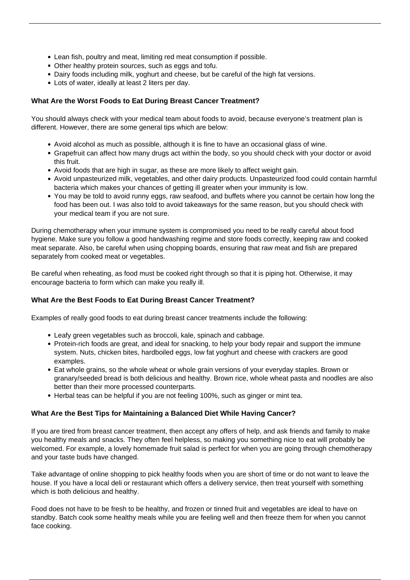- Lean fish, poultry and meat, limiting red meat consumption if possible.
- Other healthy protein sources, such as eggs and tofu.
- Dairy foods including milk, yoghurt and cheese, but be careful of the high fat versions.
- Lots of water, ideally at least 2 liters per day.

### **What Are the Worst Foods to Eat During Breast Cancer Treatment?**

You should always check with your medical team about foods to avoid, because everyone's treatment plan is different. However, there are some general tips which are below:

- Avoid alcohol as much as possible, although it is fine to have an occasional glass of wine.
- Grapefruit can affect how many drugs act within the body, so you should check with your doctor or avoid this fruit.
- Avoid foods that are high in sugar, as these are more likely to affect weight gain.
- Avoid unpasteurized milk, vegetables, and other dairy products. Unpasteurized food could contain harmful bacteria which makes your chances of getting ill greater when your immunity is low.
- You may be told to avoid runny eggs, raw seafood, and buffets where you cannot be certain how long the food has been out. I was also told to avoid takeaways for the same reason, but you should check with your medical team if you are not sure.

During chemotherapy when your immune system is compromised you need to be really careful about food hygiene. Make sure you follow a good handwashing regime and store foods correctly, keeping raw and cooked meat separate. Also, be careful when using chopping boards, ensuring that raw meat and fish are prepared separately from cooked meat or vegetables.

Be careful when reheating, as food must be cooked right through so that it is piping hot. Otherwise, it may encourage bacteria to form which can make you really ill.

# **What Are the Best Foods to Eat During Breast Cancer Treatment?**

Examples of really good foods to eat during breast cancer treatments include the following:

- Leafy green vegetables such as broccoli, kale, spinach and cabbage.
- Protein-rich foods are great, and ideal for snacking, to help your body repair and support the immune system. Nuts, chicken bites, hardboiled eggs, low fat yoghurt and cheese with crackers are good examples.
- Eat whole grains, so the whole wheat or whole grain versions of your everyday staples. Brown or granary/seeded bread is both delicious and healthy. Brown rice, whole wheat pasta and noodles are also better than their more processed counterparts.
- Herbal teas can be helpful if you are not feeling 100%, such as ginger or mint tea.

#### **What Are the Best Tips for Maintaining a Balanced Diet While Having Cancer?**

If you are tired from breast cancer treatment, then accept any offers of help, and ask friends and family to make you healthy meals and snacks. They often feel helpless, so making you something nice to eat will probably be welcomed. For example, a lovely homemade fruit salad is perfect for when you are going through chemotherapy and your taste buds have changed.

Take advantage of online shopping to pick healthy foods when you are short of time or do not want to leave the house. If you have a local deli or restaurant which offers a delivery service, then treat yourself with something which is both delicious and healthy.

Food does not have to be fresh to be healthy, and frozen or tinned fruit and vegetables are ideal to have on standby. Batch cook some healthy meals while you are feeling well and then freeze them for when you cannot face cooking.